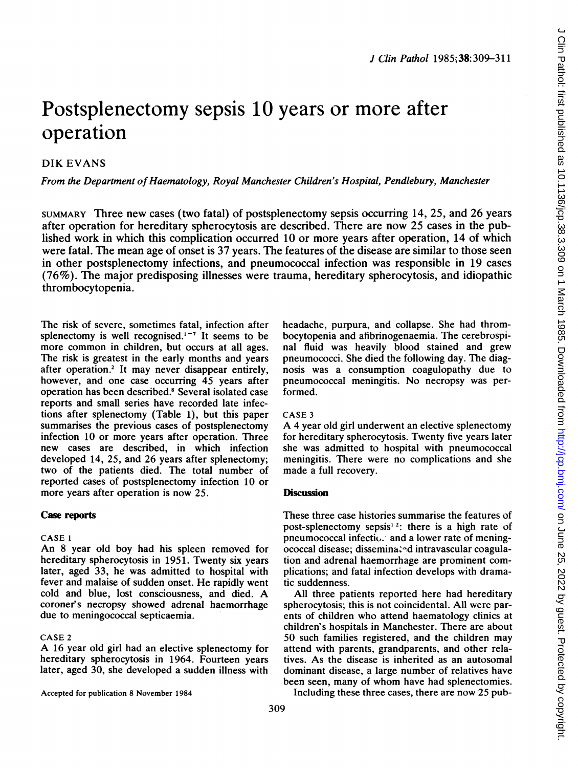# Postsplenectomy sepsis 10 years or more after operation

## DIK EVANS

From the Department of Haematology, Royal Manchester Children's Hospital, Pendlebury, Manchester

SUMMARY Three new cases (two fatal) of postsplenectomy sepsis occurring 14, 25, and 26 years after operation for hereditary spherocytosis are described. There are now 25 cases in the published work in which this complication occurred 10 or more years after operation, 14 of which were fatal. The mean age of onset is 37 years. The features of the disease are similar to those seen in other postsplenectomy infections, and pneumococcal infection was responsible in 19 cases (76%). The major predisposing illnesses were trauma, hereditary spherocytosis, and idiopathic thrombocytopenia.

The risk of severe, sometimes fatal, infection after splenectomy is well recognised. $1 - 7$  It seems to be more common in children, but occurs at all ages. The risk is greatest in the early months and years after operation.<sup>2</sup> It may never disappear entirely, however, and one case occurring 45 years after operation has been described.8 Several isolated case reports and small series have recorded late infections after splenectomy (Table 1), but this paper summarises the previous cases of postsplenectomy infection 10 or more years after operation. Three new cases are described, in which infection developed 14, 25, and 26 years after splenectomy; two of the patients died. The total number of reported cases of postsplenectomy infection 10 or more years after operation is now 25.

#### Case reports

#### CASE <sup>1</sup>

An 8 year old boy had his spleen removed for hereditary spherocytosis in 1951. Twenty six years later, aged 33, he was admitted to hospital with fever and malaise of sudden onset. He rapidly went cold and blue, lost consciousness, and died. A coroner's necropsy showed adrenal haemorrhage due to meningococcal septicaemia.

#### CASE <sup>2</sup>

A <sup>16</sup> year old girl had an elective splenectomy for hereditary spherocytosis in 1964. Fourteen years later, aged 30, she developed a sudden illness with

Accepted for publication 8 November 1984

headache, purpura, and collapse. She had thrombocytopenia and afibrinogenaemia. The cerebrospinal fluid was heavily blood stained and grew pneumococci. She died the following day. The diagnosis was a consumption coagulopathy due to pneumococcal meningitis. No necropsy was performed.

#### CASE <sup>3</sup>

A <sup>4</sup> year old girl underwent an elective splenectomy for hereditary spherocytosis. Twenty five years later she was admitted to hospital with pneumococcal meningitis. There were no complications and she made a full recovery.

### **Discussion**

These three case histories summarise the features of post-splenectomy sepsis<sup>12</sup>: there is a high rate of pneumococcal infectio. and a lower rate of meningococcal disease; dissemina.<sup>d</sup> intravascular coagulation and adrenal haemorrhage are prominent complications; and fatal infection develops with dramatic suddenness.

All three patients reported here had hereditary spherocytosis; this is not coincidental. All were parents of children who attend haematology clinics at children's hospitals in Manchester. There are about 50 such families registered, and the children may attend with parents, grandparents, and other relatives. As the disease is inherited as an autosomal dominant disease, a large number of relatives have been seen, many of whom have had splenectomies.

Including these three cases, there are now 25 pub-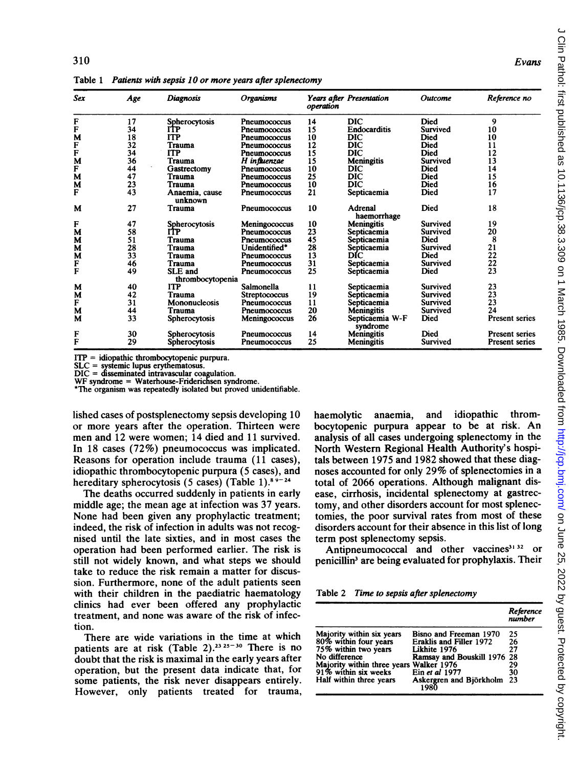| Sex    | Age | <b>Diagnosis</b>                   | <b>Organisms</b> | operation | Years after Presentation    | Outcome     | Reference no          |
|--------|-----|------------------------------------|------------------|-----------|-----------------------------|-------------|-----------------------|
| F      | 17  | Spherocytosis                      | Pneumococcus     | 14        | DIC                         | Died        | 9                     |
| F      | 34  | ITP                                | Pneumococcus     | 15        | <b>Endocarditis</b>         | Survived    | 10                    |
| M      | 18  | ITP                                | Pneumococcus     | 10        | DIC                         | Died        | 10                    |
| F      | 32  | Trauma                             | Pneumococcus     | 12        | DIC                         | Died        | 11                    |
| F      | 34  | <b>ITP</b>                         | Pneumococcus     | 15        | DIC                         | <b>Died</b> | 12                    |
| M      | 36  | Trauma                             | H influenzae     | 15        | Meningitis                  | Survived    | 13                    |
| F      | 44  | Gastrectomy                        | Pneumococcus     | 10        | DIC                         | Died        | 14                    |
| M      | 47  | Trauma                             | Pneumococcus     | 25        | DIC                         | Died        | 15                    |
| M      | 23  | Trauma                             | Pneumococcus     | 10        | <b>DIC</b>                  | Died        | 16                    |
| F      | 43  | Anaemia, cause<br>unknown          | Pneumococcus     | 21        | Septicaemia                 | Died        | 17                    |
| M      | 27  | Trauma                             | Pneumococcus     | 10        | Adrenal<br>haemorrhage      | Died        | 18                    |
| F      | 47  | Spherocytosis                      | Meningococcus    | 10        | Meningitis                  | Survived    | 19                    |
| М      | 58  | ľŤP                                | Pneumococcus     | 23        | Septicaemia                 | Survived    | 20                    |
| M      | 51  | Trauma                             | Pneumococcus     | 45        | Septicaemia                 | Died        | 8                     |
| M      | 28  | <b>Trauma</b>                      | Unidentified*    | 28        | Septicaemia                 | Survived    | 21                    |
| M      | 33  | Trauma                             | Pneumococcus     | 13        | DIC                         | Died        | 22                    |
| F      | 46  | Trauma                             | Pneumococcus     | 31        | Septicaemia                 | Survived    | 22                    |
| F      | 49  | <b>SLE</b> and<br>thrombocytopenia | Pneumococcus     | 25        | Septicaemia                 | Died        | 23                    |
| м      | 40  | <b>ITP</b>                         | Salmonella       | 11        | Septicaemia                 | Survived    | 23                    |
| M      | 42  | Trauma                             | Streptococcus    | 19        | Septicaemia                 | Survived    | 23                    |
| F      | 31  | Mononucleosis                      | Pneumococcus     | 11        | Septicaemia                 | Survived    | 23                    |
| M      | 44  | Trauma                             | Pneumococcus     | 20        | <b>Meningitis</b>           | Survived    | 24                    |
| M      | 33  | Spherocytosis                      | Meningococcus    | 26        | Septicaemia W-F<br>syndrome | Died        | <b>Present series</b> |
|        | 30  | Spherocytosis                      | Pneumococcus     | 14        | Meningitis                  | Died        | <b>Present series</b> |
| F<br>F | 29  | Spherocytosis                      | Pneumococcus     | 25        | Meningitis                  | Survived    | <b>Present series</b> |

Table <sup>1</sup> Patients with sepsis 10 or more years after splenectomy

 $ITP = idi$ opathic thrombocytopenic purpura.

SLC = systemic lupus erythematosus.

DIC = disseminated intravascular coagulation.

WF syndrome = Waterhouse-Friderichsen syndrome.

\*The organism was repeatedly isolated but proved unidentifiable.

lished cases of postsplenectomy sepsis developing 10 or more years after the operation. Thirteen were men and 12 were women; 14 died and 11 survived. In 18 cases (72%) pneumococcus was implicated. Reasons for operation include trauma (11 cases), idiopathic thrombocytopenic purpura (5 cases), and hereditary spherocytosis (5 cases) (Table 1).89-24

The deaths occurred suddenly in patients in early middle age; the mean age at infection was 37 years. None had been given any prophylactic treatment; indeed, the risk of infection in adults was not recognised until the late sixties, and in most cases the operation had been performed earlier. The risk is still not widely known, and what steps we should take to reduce the risk remain a matter for discussion. Furthermore, none of the adult patients seen with their children in the paediatric haematology clinics had ever been offered any prophylactic treatment, and none was aware of the risk of infection.

There are wide variations in the time at which patients are at risk (Table 2).<sup>23 25-30</sup> There is no doubt that the risk is maximal in the early years after operation, but the present data indicate that, for some patients, the risk never disappears entirely. However, only patients treated for trauma, haemolytic anaemia, and idiopathic thrombocytopenic purpura appear to be at risk. An analysis of all cases undergoing splenectomy in the North Western Regional Health Authority's hospitals between 1975 and 1982 showed that these diagnoses accounted for only 29% of splenectomies in <sup>a</sup> total of 2066 operations. Although malignant disease, cirrhosis, incidental splenectomy at gastrectomy, and other disorders account for most splenectomies, the poor survival rates from most of these disorders account for their absence in this list of long term post splenectomy sepsis.

Antipneumococcal and other vaccines $3132$  or penicillin<sup>3</sup> are being evaluated for prophylaxis. Their

|  |  |  |  | Table 2 Time to sepsis after splenectomy |
|--|--|--|--|------------------------------------------|
|--|--|--|--|------------------------------------------|

|                                                                               |                                    | Reference<br>number |
|-------------------------------------------------------------------------------|------------------------------------|---------------------|
|                                                                               | Bisno and Freeman 1970             | 25                  |
| Majority within six years<br>80% within four years                            | Eraklis and Filler 1972            | 26                  |
| 75% within two years                                                          | Likhite 1976                       | 27                  |
| No difference                                                                 | Ramsay and Bouskill 1976 28        |                     |
|                                                                               |                                    | 29                  |
| Majority within three years Walker 1976<br>91% within six weeks Ein et al 197 | Ein et al 1977                     | 30                  |
| Half within three years                                                       | Askergren and Björkholm 23<br>1980 |                     |